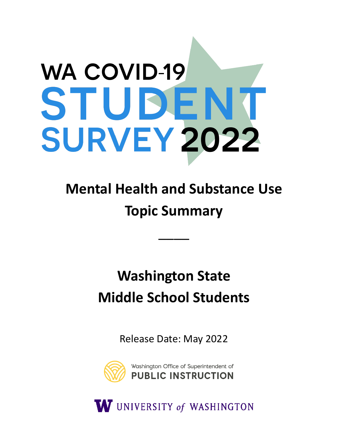# **WA COVID-19** STUDENT **SURVEY 2022**

# **Mental Health and Substance Use Topic Summary**

\_\_\_\_

# **Washington State Middle School Students**

Release Date: May 2022



W UNIVERSITY of WASHINGTON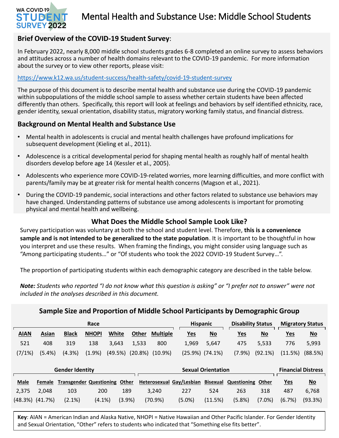(48.3%) (41.7%)

(2.1%)

(4.1%)

(3.9%)

## Mental Health and Substance Use: Middle School Students

#### **Brief Overview of the COVID-19 Student Survey**:

In February 2022, nearly 8,000 middle school students grades 6-8 completed an online survey to assess behaviors and attitudes across a number of health domains relevant to the COVID-19 pandemic. For more information about the survey or to view other reports, please visit:

#### <https://www.k12.wa.us/student-success/health-safety/covid-19-student-survey>

The purpose of this document is to describe mental health and substance use during the COVID-19 pandemic within subpopulations of the middle school sample to assess whether certain students have been affected differently than others. Specifically, this report will look at feelings and behaviors by self identified ethnicity, race, gender identity, sexual orientation, disability status, migratory working family status, and financial distress.

#### **Background on Mental Health and Substance Use**

- Mental health in adolescents is crucial and mental health challenges have profound implications for subsequent development (Kieling et al., 2011).
- Adolescence is a critical developmental period for shaping mental health as roughly half of mental health disorders develop before age 14 (Kessler et al., 2005).
- Adolescents who experience more COVID-19-related worries, more learning difficulties, and more conflict with parents/family may be at greater risk for mental health concerns (Magson et al., 2021).
- During the COVID-19 pandemic, social interactions and other factors related to substance use behaviors may have changed. Understanding patterns of substance use among adolescents is important for promoting physical and mental health and wellbeing.

#### **What Does the Middle School Sample Look Like?**

Survey participation was voluntary at both the school and student level. Therefore, **this is a convenience sample and is not intended to be generalized to the state population**. It is important to be thoughtful in how you interpret and use these results. When framing the findings, you might consider using language such as "Among participating students…" or "Of students who took the 2022 COVID-19 Student Survey…".

The proportion of participating students within each demographic category are described in the table below.

*Note: Students who reported "I do not know what this question is asking" or "I prefer not to answer" were not included in the analyses described in this document.* 

| Sample Size and Proportion of Middle School Participants by Demographic Group |               |                                |              |         |         |                 |  |                           |                           |                          |                           |                         |                           |
|-------------------------------------------------------------------------------|---------------|--------------------------------|--------------|---------|---------|-----------------|--|---------------------------|---------------------------|--------------------------|---------------------------|-------------------------|---------------------------|
|                                                                               | Race          |                                |              |         |         |                 |  | <b>Hispanic</b>           |                           | <b>Disability Status</b> |                           | <b>Migratory Status</b> |                           |
| <b>AIAN</b>                                                                   | Asian         | <b>Black</b>                   | <b>NHOPI</b> | White   | Other   | <b>Multiple</b> |  | <u>Yes</u>                | $\underline{\mathsf{No}}$ | <u>Yes</u>               | $No$                      | <u>Yes</u>              | $\underline{\mathsf{No}}$ |
| 521                                                                           | 408           | 319                            | 138          | 3,643   | 1,533   | 800             |  | 1,969                     | 5,647                     | 475                      | 5,533                     | 776                     | 5,993                     |
| (7/1%)                                                                        | (5.4%)        | (4.3%)                         | (1.9%        | (49.5%) | (20.8%) | $(10.9\%)$      |  | $(25.9\%)$ $(74.1\%)$     |                           | (7.9%                    | (92.1%)                   | (11.5%)                 | (88.5%)                   |
| <b>Gender Identity</b>                                                        |               |                                |              |         |         |                 |  | <b>Sexual Orientation</b> |                           |                          | <b>Financial Distress</b> |                         |                           |
| <b>Male</b>                                                                   | <b>Female</b> | <b>Transgender Questioning</b> |              | Other   |         |                 |  | Heterosexual Gay/Lesbian  | <b>Bisexual</b>           | Questioning              | Other                     | <b>Yes</b>              | $\underline{\mathsf{No}}$ |
| 2,375                                                                         | 2,048         | 103                            | 200          | 189     |         | 3,240           |  | 227                       | 524                       | 263                      | 318                       | 487                     | 6,768                     |

**Key**: AIAN = American Indian and Alaska Native, NHOPI = Native Hawaiian and Other Pacific Islander. For Gender Identity and Sexual Orientation, "Other" refers to students who indicated that "Something else fits better".

(5.0%)

(11.5%)

(5.8%)

(7.0%)

(6.7%) (93.3%)

(70.9%)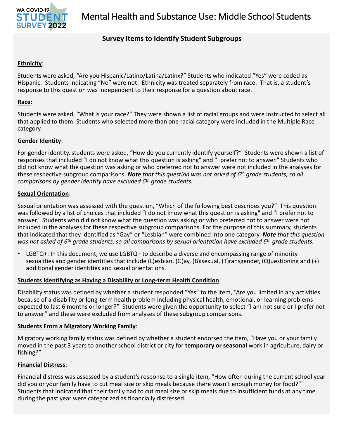

#### **Survey Items to Identify Student Subgroups**

#### **Ethnicity**:

Students were asked, "Are you Hispanic/Latino/Latina/Latinx?" Students who indicated "Yes" were coded as Hispanic. Students indicating "No" were not. Ethnicity was treated separately from race. That is, a student's response to this question was independent to their response for a question about race.

#### **Race**:

Students were asked, "What is your race?" They were shown a list of racial groups and were instructed to select all that applied to them. Students who selected more than one racial category were included in the Multiple Race category.

#### **Gender Identity**:

For gender identity, students were asked, "How do you currently identify yourself?" Students were shown a list of responses that included "I do not know what this question is asking" and "I prefer not to answer." Students who did not know what the question was asking or who preferred not to answer were not included in the analyses for these respective subgroup comparisons. *Note that this question was not asked of 6th grade students, so all comparisons by gender identity have excluded 6th grade students.*

#### **Sexual Orientation**:

Sexual orientation was assessed with the question, "Which of the following best describes you?" This question was followed by a list of choices that included "I do not know what this question is asking" and "I prefer not to answer." Students who did not know what the question was asking or who preferred not to answer were not included in the analyses for these respective subgroup comparisons. For the purpose of this summary, students that indicated that they identified as "Gay" or "Lesbian" were combined into one category. *Note that this question was not asked of 6th grade students, so all comparisons by sexual orientation have excluded 6th grade students.*

 $LGBTQ+$ : In this document, we use  $LGBTQ+$  to describe a diverse and encompassing range of minority sexualities and gender identities that include (L)esbian, (G)ay, (B)isexual, (T)ransgender, (Q)uestioning and (+) additional gender identities and sexual orientations.

#### **Students Identifying as Having a Disability or Long-term Health Condition**:

Disability status was defined by whether a student responded "Yes" to the item, "Are you limited in any activities because of a disability or long-term health problem including physical health, emotional, or learning problems expected to last 6 months or longer?" Students were given the opportunity to select "I am not sure or I prefer not to answer" and these were excluded from analyses of these subgroup comparisons.

#### **Students From a Migratory Working Family**:

Migratory working family status was defined by whether a student endorsed the item, "Have you or your family moved in the past 3 years to another school district or city for **temporary or seasonal** work in agriculture, dairy or fishing?"

#### **Financial Distress**:

Financial distress was assessed by a student's response to a single item, "How often during the current school year did you or your family have to cut meal size or skip meals because there wasn't enough money for food?" Students that indicated that their family had to cut meal size or skip meals due to insufficient funds at any time during the past year were categorized as financially distressed.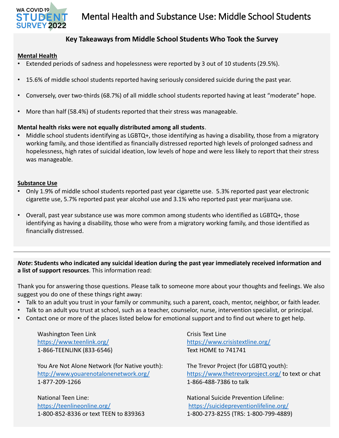

#### **Key Takeaways from Middle School Students Who Took the Survey**

#### **Mental Health**

- Extended periods of sadness and hopelessness were reported by 3 out of 10 students (29.5%).
- 15.6% of middle school students reported having seriously considered suicide during the past year.
- Conversely, over two-thirds (68.7%) of all middle school students reported having at least "moderate" hope.
- More than half (58.4%) of students reported that their stress was manageable.

#### **Mental health risks were not equally distributed among all students**.

• Middle school students identifying as LGBTQ+, those identifying as having a disability, those from a migratory working family, and those identified as financially distressed reported high levels of prolonged sadness and hopelessness, high rates of suicidal ideation, low levels of hope and were less likely to report that their stress was manageable.

#### **Substance Use**

- Only 1.9% of middle school students reported past year cigarette use. 5.3% reported past year electronic cigarette use, 5.7% reported past year alcohol use and 3.1% who reported past year marijuana use.
- Overall, past year substance use was more common among students who identified as LGBTQ+, those identifying as having a disability, those who were from a migratory working family, and those identified as financially distressed.

*Note***: Students who indicated any suicidal ideation during the past year immediately received information and a list of support resources**. This information read:

Thank you for answering those questions. Please talk to someone more about your thoughts and feelings. We also suggest you do one of these things right away:

- Talk to an adult you trust in your family or community, such a parent, coach, mentor, neighbor, or faith leader.
- Talk to an adult you trust at school, such as a teacher, counselor, nurse, intervention specialist, or principal.
- Contact one or more of the places listed below for emotional support and to find out where to get help.

Washington Teen Link <https://www.teenlink.org/> 1-866-TEENLINK (833-6546)

You Are Not Alone Network (for Native youth): <http://www.youarenotalonenetwork.org/> 1-877-209-1266

National Teen Line: <https://teenlineonline.org/> 1-800-852-8336 or text TEEN to 839363 Crisis Text Line <https://www.crisistextline.org/> Text HOME to 741741

The Trevor Project (for LGBTQ youth): <https://www.thetrevorproject.org/> to text or chat 1-866-488-7386 to talk

National Suicide Prevention Lifeline: <https://suicidepreventionlifeline.org/> 1-800-273-8255 (TRS: 1-800-799-4889)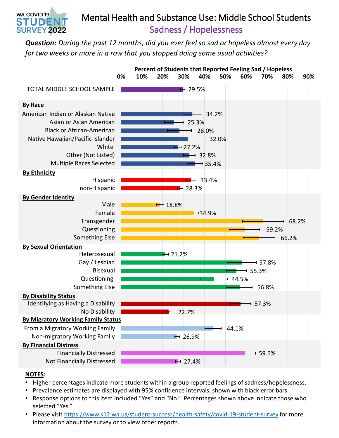## Mental Health and Substance Use: Middle School Students Sadness / Hopelessness

*Question: During the past 12 months, did you ever feel so sad or hopeless almost every day for two weeks or more in a row that you stopped doing some usual activities?*



#### **NOTES:**

WA COVID-19 STUDEI **SURVEY 2022** 

- Higher percentages indicate more students within a group reported feelings of sadness/hopelessness.
- Prevalence estimates are displayed with 95% confidence intervals, shown with black error bars.
- Response options to this item included "Yes" and "No." Percentages shown above indicate those who selected "Yes."
- Please visit <https://www.k12.wa.us/student-success/health-safety/covid-19-student-survey> for more information about the survey or to view other reports.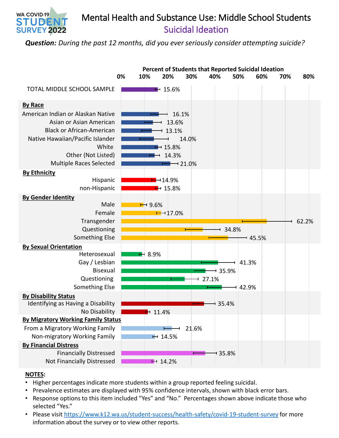

*Question: During the past 12 months, did you ever seriously consider attempting suicide?*



#### **NOTES:**

WA COVID-19 STUDE

**SURVEY 2022** 

- Higher percentages indicate more students within a group reported feeling suicidal.
- Prevalence estimates are displayed with 95% confidence intervals, shown with black error bars.
- Response options to this item included "Yes" and "No." Percentages shown above indicate those who selected "Yes."
- Please visit <https://www.k12.wa.us/student-success/health-safety/covid-19-student-survey> for more information about the survey or to view other reports.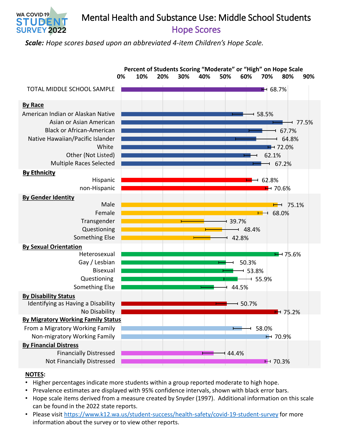Hope Scores Mental Health and Substance Use: Middle School Students

*Scale: Hope scores based upon an abbreviated 4-item Children's Hope Scale.*



#### **NOTES:**

WA COVID-19 STUDE **SURVEY 2022** 

- Higher percentages indicate more students within a group reported moderate to high hope.
- Prevalence estimates are displayed with 95% confidence intervals, shown with black error bars.
- Hope scale items derived from a measure created by Snyder (1997). Additional information on this scale can be found in the 2022 state reports.
- Please visit <https://www.k12.wa.us/student-success/health-safety/covid-19-student-survey> for more information about the survey or to view other reports.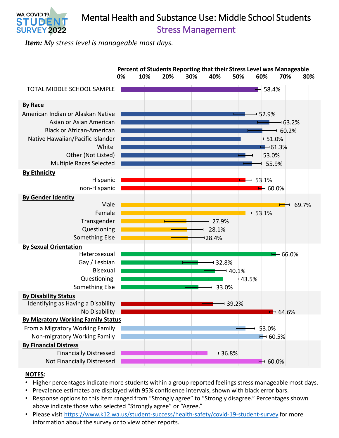### Stress Management Mental Health and Substance Use: Middle School Students

*Item: My stress level is manageable most days.*

WA COVID-19 STUDE **SURVEY 2022** 



#### **NOTES:**

- Higher percentages indicate more students within a group reported feelings stress manageable most days.
- Prevalence estimates are displayed with 95% confidence intervals, shown with black error bars.
- Response options to this item ranged from "Strongly agree" to "Strongly disagree." Percentages shown above indicate those who selected "Strongly agree" or "Agree."
- Please visit <https://www.k12.wa.us/student-success/health-safety/covid-19-student-survey> for more information about the survey or to view other reports.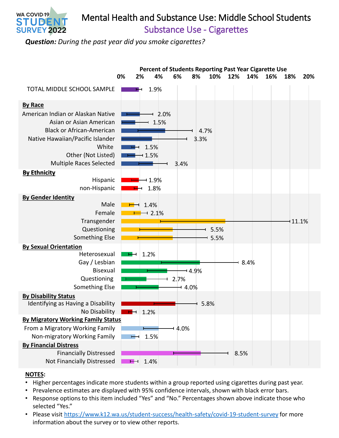

# Mental Health and Substance Use: Middle School Students

Substance Use - Cigarettes

*Question: During the past year did you smoke cigarettes?*



#### **NOTES:**

- Higher percentages indicate more students within a group reported using cigarettes during past year.
- Prevalence estimates are displayed with 95% confidence intervals, shown with black error bars.
- Response options to this item included "Yes" and "No." Percentages shown above indicate those who selected "Yes."
- Please visit <https://www.k12.wa.us/student-success/health-safety/covid-19-student-survey> for more information about the survey or to view other reports.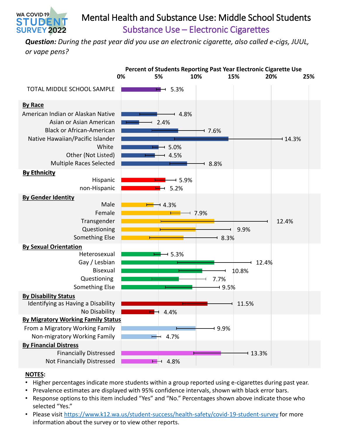

*Question: During the past year did you use an electronic cigarette, also called e-cigs, JUUL, or vape pens?*



#### **NOTES:**

WA COVID-19 STUDE

- Higher percentages indicate more students within a group reported using e-cigarettes during past year.
- Prevalence estimates are displayed with 95% confidence intervals, shown with black error bars.
- Response options to this item included "Yes" and "No." Percentages shown above indicate those who selected "Yes."
- Please visit <https://www.k12.wa.us/student-success/health-safety/covid-19-student-survey> for more information about the survey or to view other reports.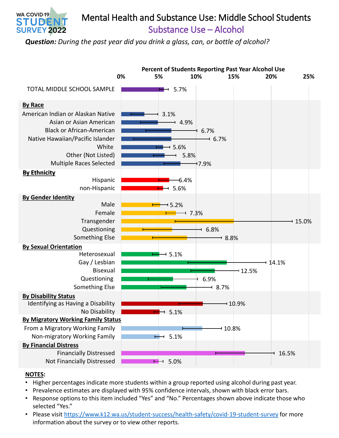

*Question: During the past year did you drink a glass, can, or bottle of alcohol?*



#### **NOTES:**

WA COVID-19 STUDE

**SURVEY 2022** 

- Higher percentages indicate more students within a group reported using alcohol during past year.
- Prevalence estimates are displayed with 95% confidence intervals, shown with black error bars.
- Response options to this item included "Yes" and "No." Percentages shown above indicate those who selected "Yes."
- Please visit <https://www.k12.wa.us/student-success/health-safety/covid-19-student-survey> for more information about the survey or to view other reports.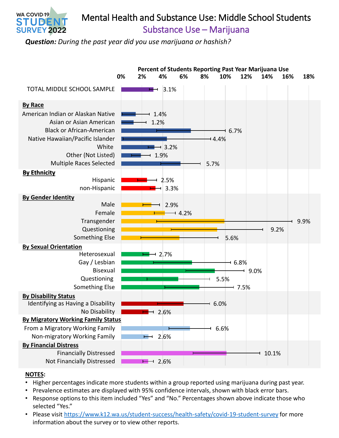

# Mental Health and Substance Use: Middle School Students

Substance Use – Marijuana

*Question: During the past year did you use marijuana or hashish?*



#### **NOTES:**

- Higher percentages indicate more students within a group reported using marijuana during past year.
- Prevalence estimates are displayed with 95% confidence intervals, shown with black error bars.
- Response options to this item included "Yes" and "No." Percentages shown above indicate those who selected "Yes."
- Please visit <https://www.k12.wa.us/student-success/health-safety/covid-19-student-survey> for more information about the survey or to view other reports.